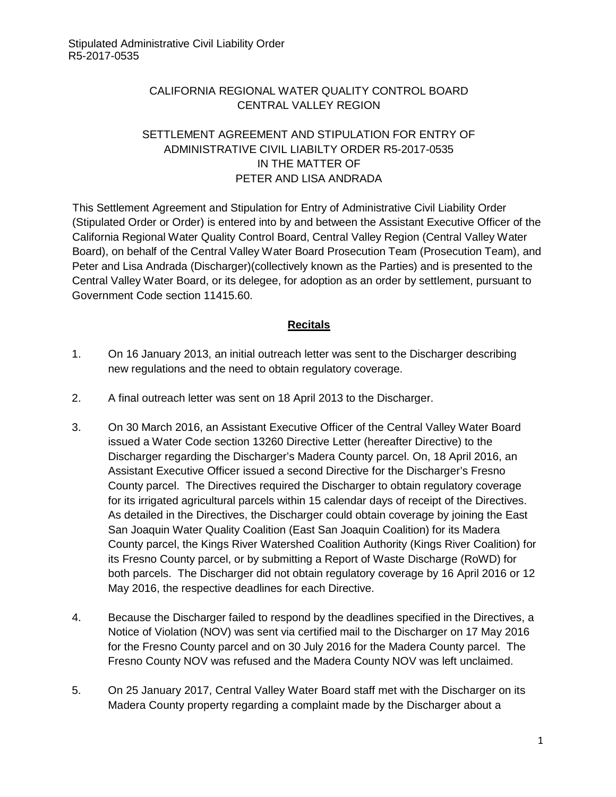# CALIFORNIA REGIONAL WATER QUALITY CONTROL BOARD CENTRAL VALLEY REGION

## SETTLEMENT AGREEMENT AND STIPULATION FOR ENTRY OF ADMINISTRATIVE CIVIL LIABILTY ORDER R5-2017-0535 IN THE MATTER OF PETER AND LISA ANDRADA

This Settlement Agreement and Stipulation for Entry of Administrative Civil Liability Order (Stipulated Order or Order) is entered into by and between the Assistant Executive Officer of the California Regional Water Quality Control Board, Central Valley Region (Central Valley Water Board), on behalf of the Central Valley Water Board Prosecution Team (Prosecution Team), and Peter and Lisa Andrada (Discharger)(collectively known as the Parties) and is presented to the Central Valley Water Board, or its delegee, for adoption as an order by settlement, pursuant to Government Code section 11415.60.

#### **Recitals**

- 1. On 16 January 2013, an initial outreach letter was sent to the Discharger describing new regulations and the need to obtain regulatory coverage.
- 2. A final outreach letter was sent on 18 April 2013 to the Discharger.
- 3. On 30 March 2016, an Assistant Executive Officer of the Central Valley Water Board issued a Water Code section 13260 Directive Letter (hereafter Directive) to the Discharger regarding the Discharger's Madera County parcel. On, 18 April 2016, an Assistant Executive Officer issued a second Directive for the Discharger's Fresno County parcel. The Directives required the Discharger to obtain regulatory coverage for its irrigated agricultural parcels within 15 calendar days of receipt of the Directives. As detailed in the Directives, the Discharger could obtain coverage by joining the East San Joaquin Water Quality Coalition (East San Joaquin Coalition) for its Madera County parcel, the Kings River Watershed Coalition Authority (Kings River Coalition) for its Fresno County parcel, or by submitting a Report of Waste Discharge (RoWD) for both parcels. The Discharger did not obtain regulatory coverage by 16 April 2016 or 12 May 2016, the respective deadlines for each Directive.
- 4. Because the Discharger failed to respond by the deadlines specified in the Directives, a Notice of Violation (NOV) was sent via certified mail to the Discharger on 17 May 2016 for the Fresno County parcel and on 30 July 2016 for the Madera County parcel. The Fresno County NOV was refused and the Madera County NOV was left unclaimed.
- 5. On 25 January 2017, Central Valley Water Board staff met with the Discharger on its Madera County property regarding a complaint made by the Discharger about a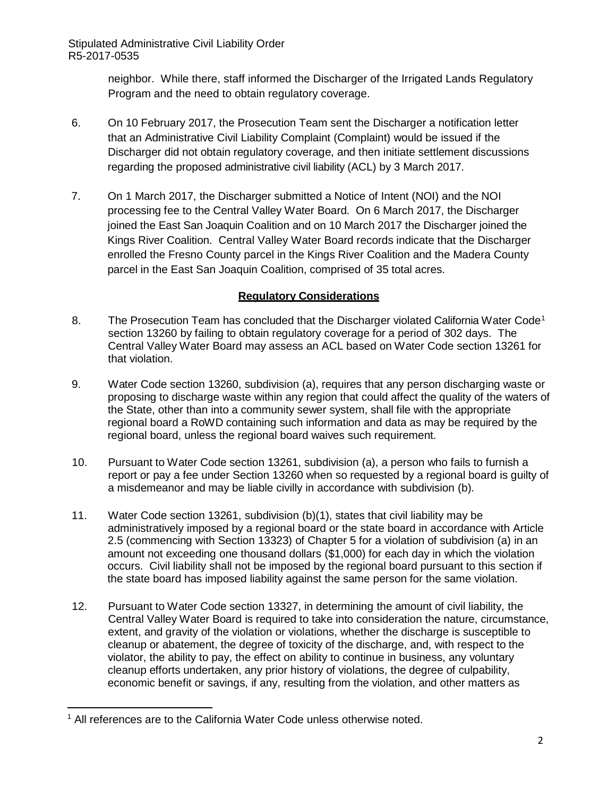> neighbor. While there, staff informed the Discharger of the Irrigated Lands Regulatory Program and the need to obtain regulatory coverage.

- 6. On 10 February 2017, the Prosecution Team sent the Discharger a notification letter that an Administrative Civil Liability Complaint (Complaint) would be issued if the Discharger did not obtain regulatory coverage, and then initiate settlement discussions regarding the proposed administrative civil liability (ACL) by 3 March 2017.
- 7. On 1 March 2017, the Discharger submitted a Notice of Intent (NOI) and the NOI processing fee to the Central Valley Water Board. On 6 March 2017, the Discharger joined the East San Joaquin Coalition and on 10 March 2017 the Discharger joined the Kings River Coalition. Central Valley Water Board records indicate that the Discharger enrolled the Fresno County parcel in the Kings River Coalition and the Madera County parcel in the East San Joaquin Coalition, comprised of 35 total acres.

## **Regulatory Considerations**

- 8. The Prosecution Team has concluded that the Discharger violated California Water Code<sup>[1](#page-1-0)</sup> section 13260 by failing to obtain regulatory coverage for a period of 302 days. The Central Valley Water Board may assess an ACL based on Water Code section 13261 for that violation.
- 9. Water Code section 13260, subdivision (a), requires that any person discharging waste or proposing to discharge waste within any region that could affect the quality of the waters of the State, other than into a community sewer system, shall file with the appropriate regional board a RoWD containing such information and data as may be required by the regional board, unless the regional board waives such requirement.
- 10. Pursuant to Water Code section 13261, subdivision (a), a person who fails to furnish a report or pay a fee under Section 13260 when so requested by a regional board is guilty of a misdemeanor and may be liable civilly in accordance with subdivision (b).
- 11. Water Code section 13261, subdivision (b)(1), states that civil liability may be administratively imposed by a regional board or the state board in accordance with Article 2.5 (commencing with Section 13323) of Chapter 5 for a violation of subdivision (a) in an amount not exceeding one thousand dollars (\$1,000) for each day in which the violation occurs. Civil liability shall not be imposed by the regional board pursuant to this section if the state board has imposed liability against the same person for the same violation.
- 12. Pursuant to Water Code section 13327, in determining the amount of civil liability, the Central Valley Water Board is required to take into consideration the nature, circumstance, extent, and gravity of the violation or violations, whether the discharge is susceptible to cleanup or abatement, the degree of toxicity of the discharge, and, with respect to the violator, the ability to pay, the effect on ability to continue in business, any voluntary cleanup efforts undertaken, any prior history of violations, the degree of culpability, economic benefit or savings, if any, resulting from the violation, and other matters as

<span id="page-1-0"></span>**<sup>.</sup>** <sup>1</sup> All references are to the California Water Code unless otherwise noted.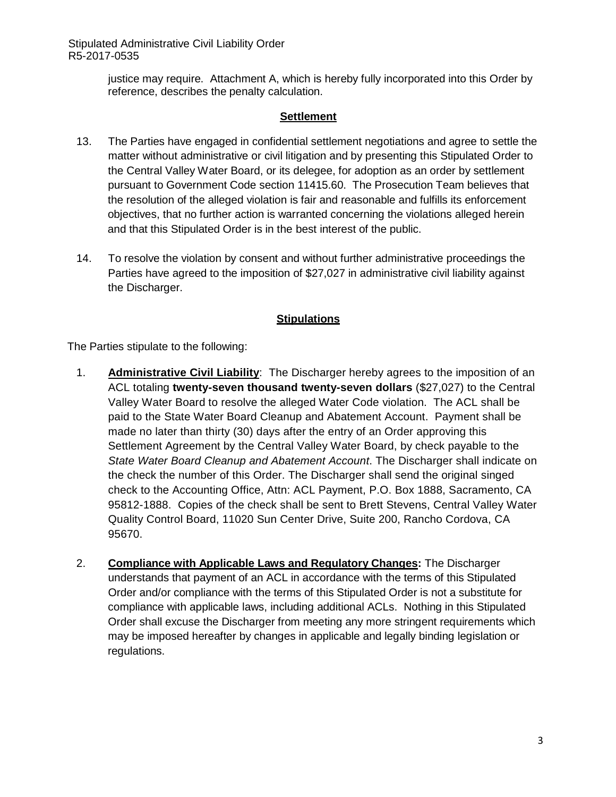> justice may require. Attachment A, which is hereby fully incorporated into this Order by reference, describes the penalty calculation.

### **Settlement**

- 13. The Parties have engaged in confidential settlement negotiations and agree to settle the matter without administrative or civil litigation and by presenting this Stipulated Order to the Central Valley Water Board, or its delegee, for adoption as an order by settlement pursuant to Government Code section 11415.60. The Prosecution Team believes that the resolution of the alleged violation is fair and reasonable and fulfills its enforcement objectives, that no further action is warranted concerning the violations alleged herein and that this Stipulated Order is in the best interest of the public.
- 14. To resolve the violation by consent and without further administrative proceedings the Parties have agreed to the imposition of \$27,027 in administrative civil liability against the Discharger.

## **Stipulations**

The Parties stipulate to the following:

- 1. **Administrative Civil Liability**: The Discharger hereby agrees to the imposition of an ACL totaling **twenty-seven thousand twenty-seven dollars** (\$27,027) to the Central Valley Water Board to resolve the alleged Water Code violation. The ACL shall be paid to the State Water Board Cleanup and Abatement Account. Payment shall be made no later than thirty (30) days after the entry of an Order approving this Settlement Agreement by the Central Valley Water Board, by check payable to the *State Water Board Cleanup and Abatement Account*. The Discharger shall indicate on the check the number of this Order. The Discharger shall send the original singed check to the Accounting Office, Attn: ACL Payment, P.O. Box 1888, Sacramento, CA 95812-1888. Copies of the check shall be sent to Brett Stevens, Central Valley Water Quality Control Board, 11020 Sun Center Drive, Suite 200, Rancho Cordova, CA 95670.
- 2. **Compliance with Applicable Laws and Regulatory Changes:** The Discharger understands that payment of an ACL in accordance with the terms of this Stipulated Order and/or compliance with the terms of this Stipulated Order is not a substitute for compliance with applicable laws, including additional ACLs. Nothing in this Stipulated Order shall excuse the Discharger from meeting any more stringent requirements which may be imposed hereafter by changes in applicable and legally binding legislation or regulations.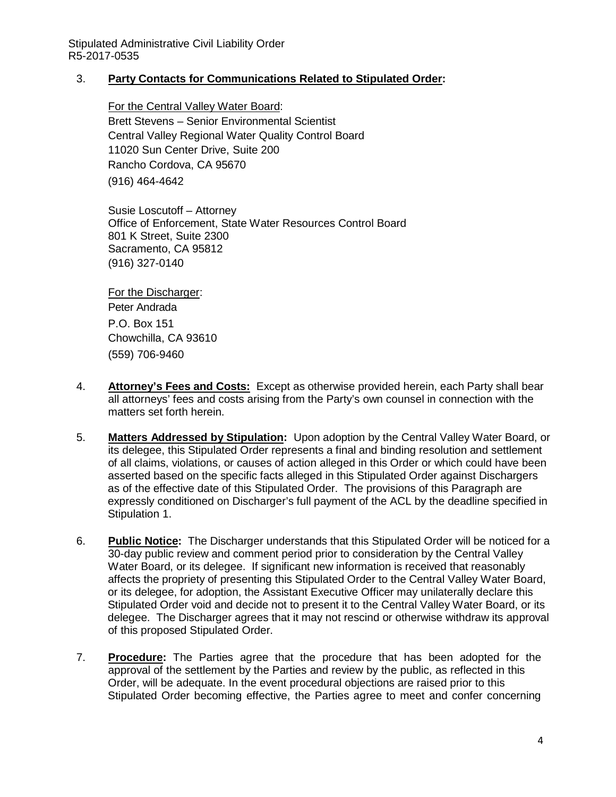### 3. **Party Contacts for Communications Related to Stipulated Order:**

For the Central Valley Water Board: Brett Stevens – Senior Environmental Scientist Central Valley Regional Water Quality Control Board 11020 Sun Center Drive, Suite 200 Rancho Cordova, CA 95670 (916) 464-4642

Susie Loscutoff – Attorney Office of Enforcement, State Water Resources Control Board 801 K Street, Suite 2300 Sacramento, CA 95812 (916) 327-0140

For the Discharger: Peter Andrada P.O. Box 151 Chowchilla, CA 93610 (559) 706-9460

- 4. **Attorney's Fees and Costs:** Except as otherwise provided herein, each Party shall bear all attorneys' fees and costs arising from the Party's own counsel in connection with the matters set forth herein.
- 5. **Matters Addressed by Stipulation:** Upon adoption by the Central Valley Water Board, or its delegee, this Stipulated Order represents a final and binding resolution and settlement of all claims, violations, or causes of action alleged in this Order or which could have been asserted based on the specific facts alleged in this Stipulated Order against Dischargers as of the effective date of this Stipulated Order. The provisions of this Paragraph are expressly conditioned on Discharger's full payment of the ACL by the deadline specified in Stipulation 1.
- 6. **Public Notice:** The Discharger understands that this Stipulated Order will be noticed for a 30-day public review and comment period prior to consideration by the Central Valley Water Board, or its delegee. If significant new information is received that reasonably affects the propriety of presenting this Stipulated Order to the Central Valley Water Board, or its delegee, for adoption, the Assistant Executive Officer may unilaterally declare this Stipulated Order void and decide not to present it to the Central Valley Water Board, or its delegee. The Discharger agrees that it may not rescind or otherwise withdraw its approval of this proposed Stipulated Order.
- 7. **Procedure:** The Parties agree that the procedure that has been adopted for the approval of the settlement by the Parties and review by the public, as reflected in this Order, will be adequate. In the event procedural objections are raised prior to this Stipulated Order becoming effective, the Parties agree to meet and confer concerning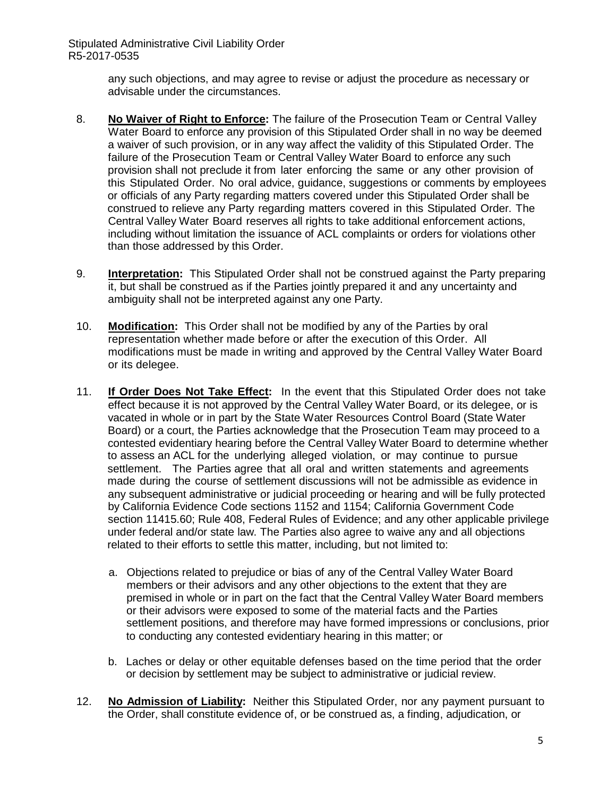> any such objections, and may agree to revise or adjust the procedure as necessary or advisable under the circumstances.

- 8. **No Waiver of Right to Enforce:** The failure of the Prosecution Team or Central Valley Water Board to enforce any provision of this Stipulated Order shall in no way be deemed a waiver of such provision, or in any way affect the validity of this Stipulated Order. The failure of the Prosecution Team or Central Valley Water Board to enforce any such provision shall not preclude it from later enforcing the same or any other provision of this Stipulated Order. No oral advice, guidance, suggestions or comments by employees or officials of any Party regarding matters covered under this Stipulated Order shall be construed to relieve any Party regarding matters covered in this Stipulated Order. The Central Valley Water Board reserves all rights to take additional enforcement actions, including without limitation the issuance of ACL complaints or orders for violations other than those addressed by this Order.
- 9. **Interpretation:** This Stipulated Order shall not be construed against the Party preparing it, but shall be construed as if the Parties jointly prepared it and any uncertainty and ambiguity shall not be interpreted against any one Party.
- 10. **Modification:** This Order shall not be modified by any of the Parties by oral representation whether made before or after the execution of this Order. All modifications must be made in writing and approved by the Central Valley Water Board or its delegee.
- 11. **If Order Does Not Take Effect:** In the event that this Stipulated Order does not take effect because it is not approved by the Central Valley Water Board, or its delegee, or is vacated in whole or in part by the State Water Resources Control Board (State Water Board) or a court, the Parties acknowledge that the Prosecution Team may proceed to a contested evidentiary hearing before the Central Valley Water Board to determine whether to assess an ACL for the underlying alleged violation, or may continue to pursue settlement. The Parties agree that all oral and written statements and agreements made during the course of settlement discussions will not be admissible as evidence in any subsequent administrative or judicial proceeding or hearing and will be fully protected by California Evidence Code sections 1152 and 1154; California Government Code section 11415.60; Rule 408, Federal Rules of Evidence; and any other applicable privilege under federal and/or state law. The Parties also agree to waive any and all objections related to their efforts to settle this matter, including, but not limited to:
	- a. Objections related to prejudice or bias of any of the Central Valley Water Board members or their advisors and any other objections to the extent that they are premised in whole or in part on the fact that the Central Valley Water Board members or their advisors were exposed to some of the material facts and the Parties settlement positions, and therefore may have formed impressions or conclusions, prior to conducting any contested evidentiary hearing in this matter; or
	- b. Laches or delay or other equitable defenses based on the time period that the order or decision by settlement may be subject to administrative or judicial review.
- 12. **No Admission of Liability:** Neither this Stipulated Order, nor any payment pursuant to the Order, shall constitute evidence of, or be construed as, a finding, adjudication, or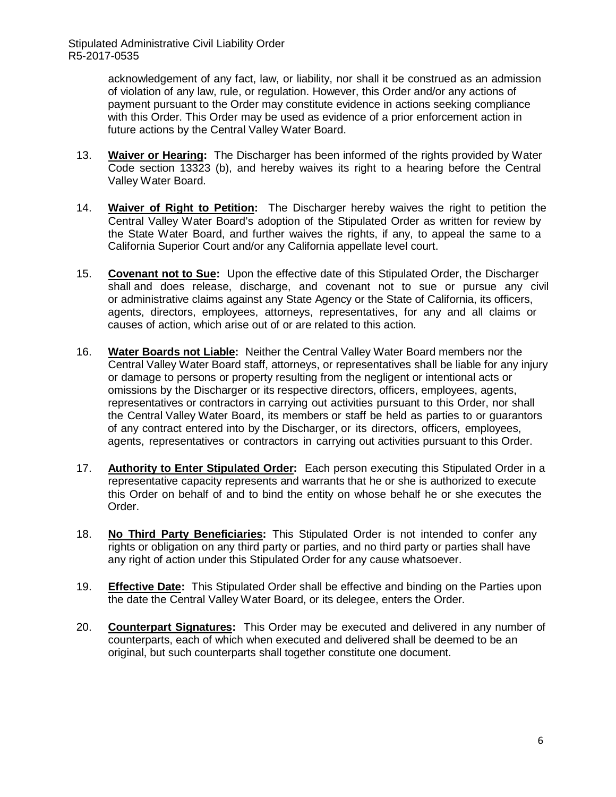> acknowledgement of any fact, law, or liability, nor shall it be construed as an admission of violation of any law, rule, or regulation. However, this Order and/or any actions of payment pursuant to the Order may constitute evidence in actions seeking compliance with this Order. This Order may be used as evidence of a prior enforcement action in future actions by the Central Valley Water Board.

- 13. **Waiver or Hearing:** The Discharger has been informed of the rights provided by Water Code section 13323 (b), and hereby waives its right to a hearing before the Central Valley Water Board.
- 14. **Waiver of Right to Petition:** The Discharger hereby waives the right to petition the Central Valley Water Board's adoption of the Stipulated Order as written for review by the State Water Board, and further waives the rights, if any, to appeal the same to a California Superior Court and/or any California appellate level court.
- 15. **Covenant not to Sue:** Upon the effective date of this Stipulated Order, the Discharger shall and does release, discharge, and covenant not to sue or pursue any civil or administrative claims against any State Agency or the State of California, its officers, agents, directors, employees, attorneys, representatives, for any and all claims or causes of action, which arise out of or are related to this action.
- 16. **Water Boards not Liable:** Neither the Central Valley Water Board members nor the Central Valley Water Board staff, attorneys, or representatives shall be liable for any injury or damage to persons or property resulting from the negligent or intentional acts or omissions by the Discharger or its respective directors, officers, employees, agents, representatives or contractors in carrying out activities pursuant to this Order, nor shall the Central Valley Water Board, its members or staff be held as parties to or guarantors of any contract entered into by the Discharger, or its directors, officers, employees, agents, representatives or contractors in carrying out activities pursuant to this Order.
- 17. **Authority to Enter Stipulated Order:** Each person executing this Stipulated Order in a representative capacity represents and warrants that he or she is authorized to execute this Order on behalf of and to bind the entity on whose behalf he or she executes the Order.
- 18. **No Third Party Beneficiaries:** This Stipulated Order is not intended to confer any rights or obligation on any third party or parties, and no third party or parties shall have any right of action under this Stipulated Order for any cause whatsoever.
- 19. **Effective Date:** This Stipulated Order shall be effective and binding on the Parties upon the date the Central Valley Water Board, or its delegee, enters the Order.
- 20. **Counterpart Signatures:** This Order may be executed and delivered in any number of counterparts, each of which when executed and delivered shall be deemed to be an original, but such counterparts shall together constitute one document.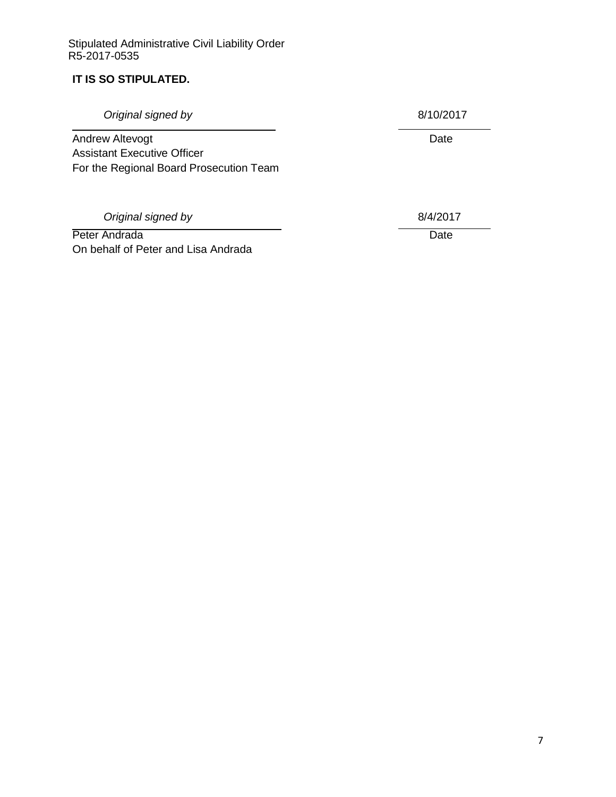## **IT IS SO STIPULATED.**

**Original signed by** 8/10/2017 Andrew Altevogt **Date** Assistant Executive Officer For the Regional Board Prosecution Team **Original signed by** 8/4/2017 Peter Andrada Date

On behalf of Peter and Lisa Andrada